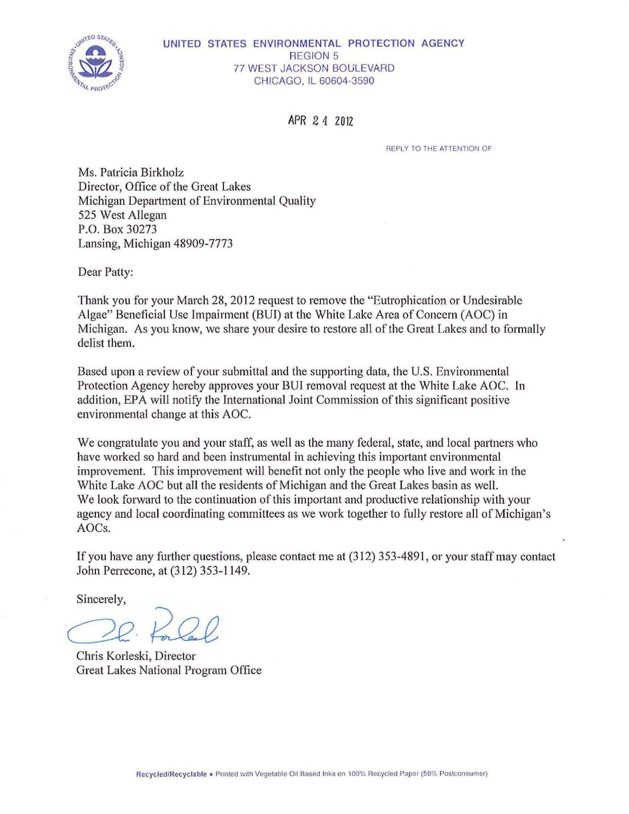

#### UNITED STATES ENVIRONMENTAL PROTECTION AGENCY REGION 5 **77 WEST JACKSON BOULEVARD** CHICAGO, IL 60604-3590

APR 2 *4* <sup>2012</sup>

REPLY TO THE ATTENTION OF

Ms. Patricia Birkholz Director, Office of the Great Lakes Michigan Department of Environmental Quality 525 West Allegan P.O. Box 30273 Lansing, Michigan 48909-7773

Dear Patty:

Thank you for your March 28, 2012 request to remove the "Eutrophication or Undesirable Algae" Beneficial Use Impairment (BUI) at the White Lake Area of Concern (AOC) in Michigan. As you know, we share your desire to restore all of the Great Lakes and to formally delist them.

Based upon a review of your submittal and the supporting data, the U.S. Environmental Protection Agency hereby approves your BUI removal request at the White Lake AOC. In addition, EPA will notify the International Joint Commission of this significant positive environmental change at this AOC.

We congratulate you and your staff, as well as the many federal, state, and local partners who have worked so hard and been instrumental in achieving this important environmental improvement. This improvement will benefit not only the people who live and work in the White Lake AOC but all the residents of Michigan and the Great Lakes basin as well. We look forward to the continuation of this important and productive relationship with your agency and local coordinating committees as we work together to fully restore all of Michigan's AOCs.

If you have any further questions, please contact me at (312) 353-4891, or your staff may contact John Perrecone, at (312) 353-1149.

Sincerely,

C2£. *i2J2e* 

Chris Korleski, Director Great Lakes National Program Office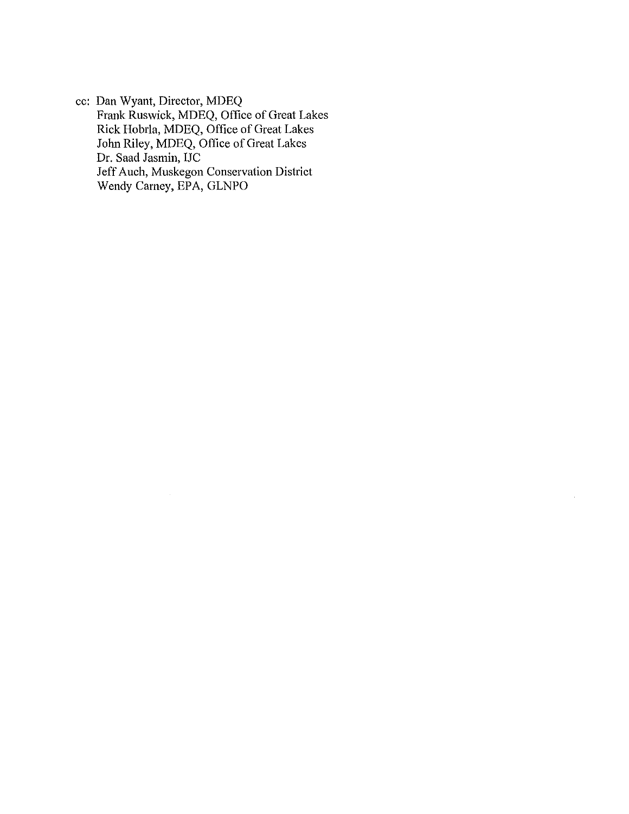cc: Dan Wyant, Director, MDEQ Frank Ruswick, MDEQ, Office of Great Lakes Rick Hobrla, MDEQ, Office of Great Lakes Jolm Riley, MDEQ, Office of Great Lakes Dr. Saad Jasmin, IJC Jeff Auch, Muskegon Conservation District Wendy Carney, EPA, GLNPO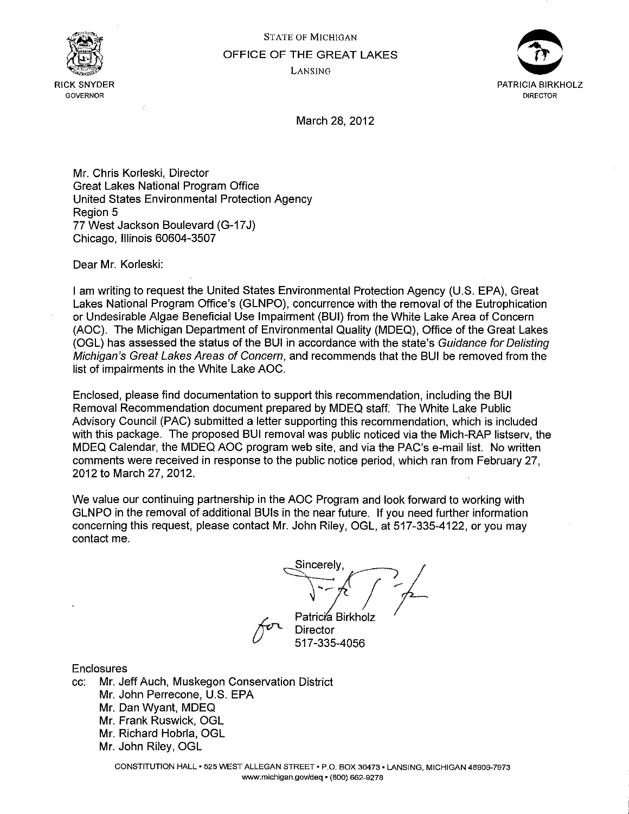



March 28, 2012

Mr. Chris Korleski, Director Great Lakes National Program Office United States Environmental Protection Agency Region 5 77 West Jackson Boulevard (G-17 J) Chicago, Illinois 60604-3507

Dear Mr. Korleski:

I am writing to request the United States Environmental Protection Agency (U.S. EPA}, Great Lakes National Program Office's (GLNPO), concurrence with the removal of the Eutrophication or Undesirable Algae Beneficial Use Impairment (BUI} from the White Lake Area of Concern (AOC). The Michigan Department of Environmental Quality (MDEQ}, Office of the Great Lakes (OGL) has assessed the status of the BUI in accordance with the state's Guidance for Delisting Michigan's Great Lakes Areas of Concern, and recommends that the BUI be removed from the list of impairments in the White Lake AOC.

Enclosed, please find documentation to support this recommendation, including the BUI Removal Recommendation document prepared by MDEQ staff. The White Lake Public Advisory Council (PAC) submitted a letter supporting this recommendation, which is included with this package. The proposed BUI removal was public noticed via the Mich-RAP listserv, the MDEQ Calendar, the MDEQ AOC program web site, and via the PAC's e-mail list. No written comments were received in response to the public notice period, which ran from February 27, 2012 to March 27, 2012.

We value our continuing partnership in the AOC Program and look forward to working with GLNPO in the removal of additional BUis in the near future. If you need further information concerning this request, please contact Mr. John Riley, OGL, at 517-335-4122, or you may contact me.

Director<br>Patricia Birkholz<br>Director **Director** 

517-335-4056

Enclosures

cc: Mr. Jeff Auch, Muskegon Conservation District Mr. John Perrecone, U.S. EPA Mr. Dan Wyant, MDEQ Mr. Frank Ruswick, OGL Mr. Richard Hobrla, OGL Mr. John Riley, OGL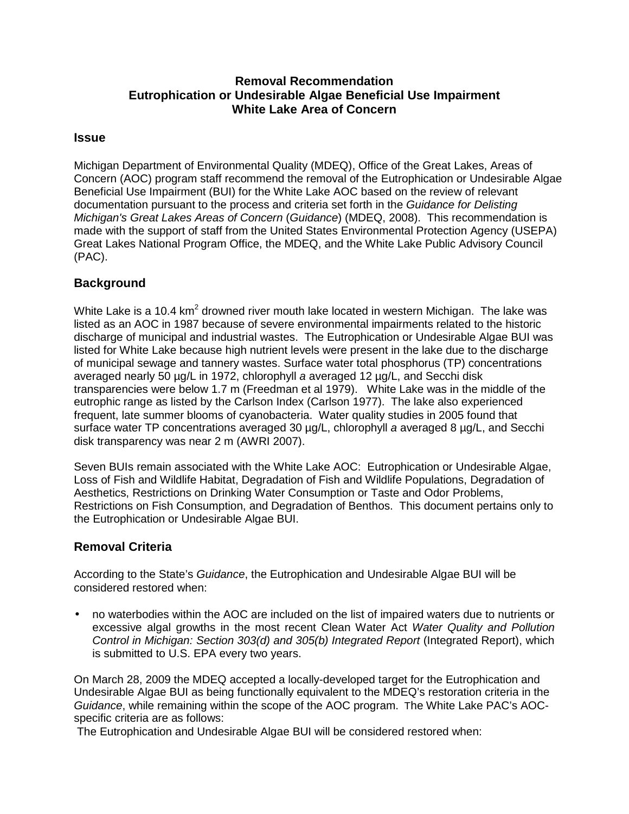# **Removal Recommendation Eutrophication or Undesirable Algae Beneficial Use Impairment White Lake Area of Concern**

#### **Issue**

Michigan Department of Environmental Quality (MDEQ), Office of the Great Lakes, Areas of Concern (AOC) program staff recommend the removal of the Eutrophication or Undesirable Algae Beneficial Use Impairment (BUI) for the White Lake AOC based on the review of relevant documentation pursuant to the process and criteria set forth in the Guidance for Delisting Michigan's Great Lakes Areas of Concern (Guidance) (MDEQ, 2008). This recommendation is made with the support of staff from the United States Environmental Protection Agency (USEPA) Great Lakes National Program Office, the MDEQ, and the White Lake Public Advisory Council (PAC).

# **Background**

White Lake is a 10.4 km<sup>2</sup> drowned river mouth lake located in western Michigan. The lake was listed as an AOC in 1987 because of severe environmental impairments related to the historic discharge of municipal and industrial wastes. The Eutrophication or Undesirable Algae BUI was listed for White Lake because high nutrient levels were present in the lake due to the discharge of municipal sewage and tannery wastes. Surface water total phosphorus (TP) concentrations averaged nearly 50 µg/L in 1972, chlorophyll a averaged 12 µg/L, and Secchi disk transparencies were below 1.7 m (Freedman et al 1979). White Lake was in the middle of the eutrophic range as listed by the Carlson Index (Carlson 1977). The lake also experienced frequent, late summer blooms of cyanobacteria. Water quality studies in 2005 found that surface water TP concentrations averaged 30 µg/L, chlorophyll a averaged 8 µg/L, and Secchi disk transparency was near 2 m (AWRI 2007).

Seven BUIs remain associated with the White Lake AOC: Eutrophication or Undesirable Algae, Loss of Fish and Wildlife Habitat, Degradation of Fish and Wildlife Populations, Degradation of Aesthetics, Restrictions on Drinking Water Consumption or Taste and Odor Problems, Restrictions on Fish Consumption, and Degradation of Benthos. This document pertains only to the Eutrophication or Undesirable Algae BUI.

# **Removal Criteria**

According to the State's Guidance, the Eutrophication and Undesirable Algae BUI will be considered restored when:

• no waterbodies within the AOC are included on the list of impaired waters due to nutrients or excessive algal growths in the most recent Clean Water Act Water Quality and Pollution Control in Michigan: Section 303(d) and 305(b) Integrated Report (Integrated Report), which is submitted to U.S. EPA every two years.

On March 28, 2009 the MDEQ accepted a locally-developed target for the Eutrophication and Undesirable Algae BUI as being functionally equivalent to the MDEQ's restoration criteria in the Guidance, while remaining within the scope of the AOC program. The White Lake PAC's AOCspecific criteria are as follows:

The Eutrophication and Undesirable Algae BUI will be considered restored when: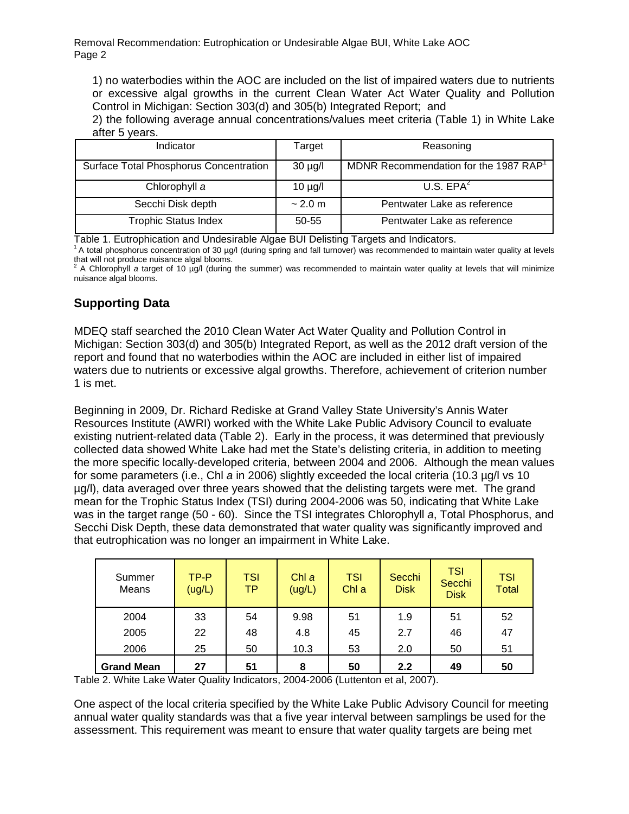Removal Recommendation: Eutrophication or Undesirable Algae BUI, White Lake AOC Page 2

1) no waterbodies within the AOC are included on the list of impaired waters due to nutrients or excessive algal growths in the current Clean Water Act Water Quality and Pollution Control in Michigan: Section 303(d) and 305(b) Integrated Report; and

2) the following average annual concentrations/values meet criteria (Table 1) in White Lake after 5 years.

| Indicator                              | Target       | Reasoning                            |
|----------------------------------------|--------------|--------------------------------------|
| Surface Total Phosphorus Concentration | $30 \mu g/l$ | MDNR Recommendation for the 1987 RAP |
| Chlorophyll a                          | $10 \mu g/l$ | U.S. EPA <sup>2</sup>                |
| Secchi Disk depth                      | ~2.0~m       | Pentwater Lake as reference          |
| <b>Trophic Status Index</b>            | 50-55        | Pentwater Lake as reference          |

Table 1. Eutrophication and Undesirable Algae BUI Delisting Targets and Indicators.

<sup>1</sup> A total phosphorus concentration of 30 µg/l (during spring and fall turnover) was recommended to maintain water quality at levels

that will not produce nuisance algal blooms.<br><sup>2</sup> A Chlorophyll *a* target of 10 µg/l (during the summer) was recommended to maintain water quality at levels that will minimize nuisance algal blooms.

# **Supporting Data**

MDEQ staff searched the 2010 Clean Water Act Water Quality and Pollution Control in Michigan: Section 303(d) and 305(b) Integrated Report, as well as the 2012 draft version of the report and found that no waterbodies within the AOC are included in either list of impaired waters due to nutrients or excessive algal growths. Therefore, achievement of criterion number 1 is met.

Beginning in 2009, Dr. Richard Rediske at Grand Valley State University's Annis Water Resources Institute (AWRI) worked with the White Lake Public Advisory Council to evaluate existing nutrient-related data (Table 2). Early in the process, it was determined that previously collected data showed White Lake had met the State's delisting criteria, in addition to meeting the more specific locally-developed criteria, between 2004 and 2006. Although the mean values for some parameters (i.e., Chl a in 2006) slightly exceeded the local criteria (10.3 µg/l vs 10 µg/l), data averaged over three years showed that the delisting targets were met. The grand mean for the Trophic Status Index (TSI) during 2004-2006 was 50, indicating that White Lake was in the target range (50 - 60). Since the TSI integrates Chlorophyll a, Total Phosphorus, and Secchi Disk Depth, these data demonstrated that water quality was significantly improved and that eutrophication was no longer an impairment in White Lake.

| Summer<br>Means   | TP-P<br>(ug/L) | <b>TSI</b><br>ТP | Chl a<br>(ug/L) | <b>TSI</b><br>Chl a | Secchi<br><b>Disk</b> | <b>TSI</b><br>Secchi<br><b>Disk</b> | <b>TSI</b><br><b>Total</b> |
|-------------------|----------------|------------------|-----------------|---------------------|-----------------------|-------------------------------------|----------------------------|
| 2004              | 33             | 54               | 9.98            | 51                  | 1.9                   | 51                                  | 52                         |
| 2005              | 22             | 48               | 4.8             | 45                  | 2.7                   | 46                                  | 47                         |
| 2006              | 25             | 50               | 10.3            | 53                  | 2.0                   | 50                                  | 51                         |
| <b>Grand Mean</b> | 27             | 51               | 8               | 50                  | 2.2                   | 49                                  | 50                         |

Table 2. White Lake Water Quality Indicators, 2004-2006 (Luttenton et al, 2007).

One aspect of the local criteria specified by the White Lake Public Advisory Council for meeting annual water quality standards was that a five year interval between samplings be used for the assessment. This requirement was meant to ensure that water quality targets are being met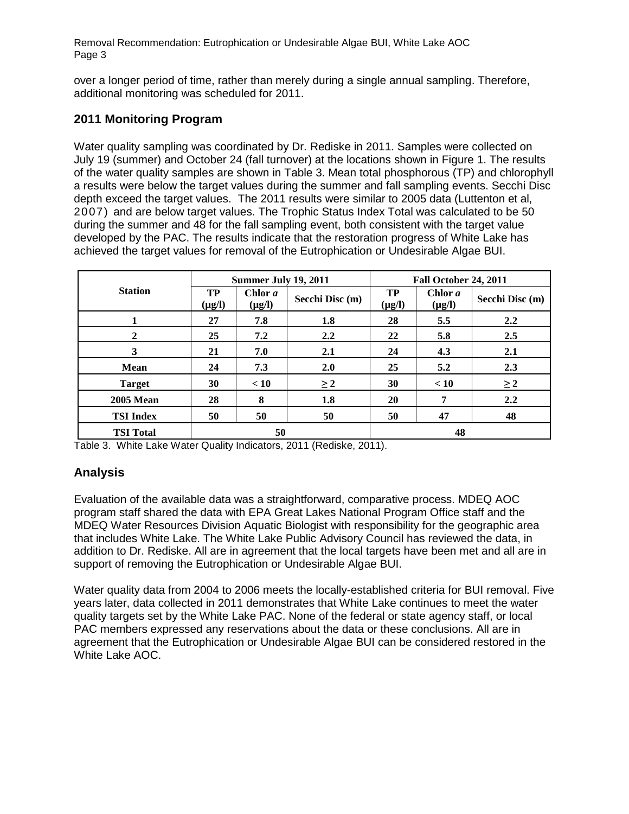Removal Recommendation: Eutrophication or Undesirable Algae BUI, White Lake AOC Page 3

over a longer period of time, rather than merely during a single annual sampling. Therefore, additional monitoring was scheduled for 2011.

# **2011 Monitoring Program**

Water quality sampling was coordinated by Dr. Rediske in 2011. Samples were collected on July 19 (summer) and October 24 (fall turnover) at the locations shown in Figure 1. The results of the water quality samples are shown in Table 3. Mean total phosphorous (TP) and chlorophyll a results were below the target values during the summer and fall sampling events. Secchi Disc depth exceed the target values. The 2011 results were similar to 2005 data (Luttenton et al, 2007) and are below target values. The Trophic Status Index Total was calculated to be 50 during the summer and 48 for the fall sampling event, both consistent with the target value developed by the PAC. The results indicate that the restoration progress of White Lake has achieved the target values for removal of the Eutrophication or Undesirable Algae BUI.

|                  | Summer July 19, 2011 |                        |                 | Fall October 24, 2011 |                        |                 |  |
|------------------|----------------------|------------------------|-----------------|-----------------------|------------------------|-----------------|--|
| <b>Station</b>   | TP<br>$(\mu g/l)$    | Chlor a<br>$(\mu g/l)$ | Secchi Disc (m) | TP<br>$(\mu g/l)$     | Chlor a<br>$(\mu g/l)$ | Secchi Disc (m) |  |
|                  | 27                   | 7.8                    | 1.8             | 28                    | 5.5                    | 2.2             |  |
| $\mathbf{2}$     | 25                   | 7.2                    | 2.2             | 22                    | 5.8                    | 2.5             |  |
| 3                | 21                   | 7.0                    | 2.1             | 24                    | 4.3                    | 2.1             |  |
| <b>Mean</b>      | 24                   | 7.3                    | 2.0             | 25                    | 5.2                    | 2.3             |  |
| <b>Target</b>    | 30                   | < 10                   | $\geq 2$        | 30                    | < 10                   | $\geq 2$        |  |
| <b>2005 Mean</b> | 28                   | 8                      | 1.8             | 20                    | 7                      | 2.2             |  |
| <b>TSI</b> Index | 50                   | 50                     | 50              | 50                    | 47                     | 48              |  |
| <b>TSI Total</b> | 50                   |                        |                 | 48                    |                        |                 |  |

Table 3. White Lake Water Quality Indicators, 2011 (Rediske, 2011).

# **Analysis**

Evaluation of the available data was a straightforward, comparative process. MDEQ AOC program staff shared the data with EPA Great Lakes National Program Office staff and the MDEQ Water Resources Division Aquatic Biologist with responsibility for the geographic area that includes White Lake. The White Lake Public Advisory Council has reviewed the data, in addition to Dr. Rediske. All are in agreement that the local targets have been met and all are in support of removing the Eutrophication or Undesirable Algae BUI.

Water quality data from 2004 to 2006 meets the locally-established criteria for BUI removal. Five years later, data collected in 2011 demonstrates that White Lake continues to meet the water quality targets set by the White Lake PAC. None of the federal or state agency staff, or local PAC members expressed any reservations about the data or these conclusions. All are in agreement that the Eutrophication or Undesirable Algae BUI can be considered restored in the White Lake AOC.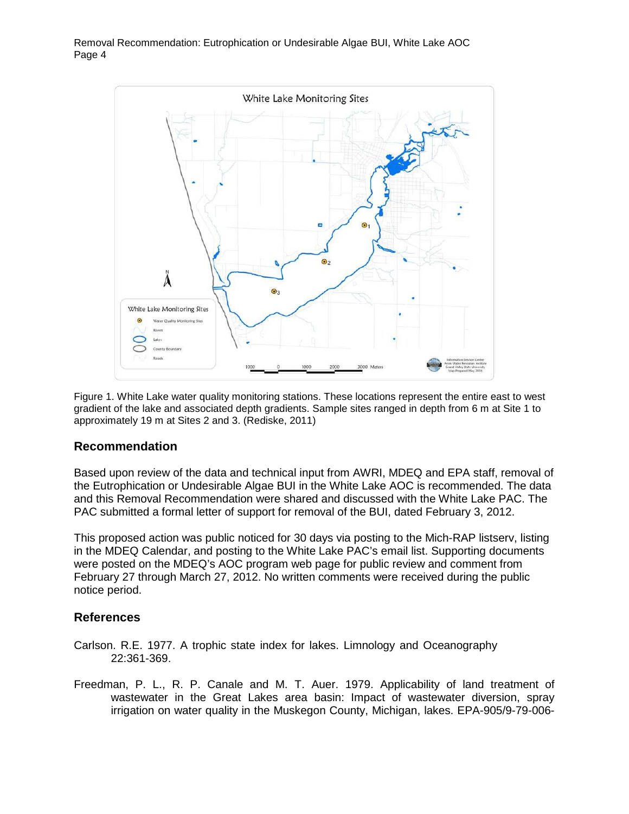

Figure 1. White Lake water quality monitoring stations. These locations represent the entire east to west gradient of the lake and associated depth gradients. Sample sites ranged in depth from 6 m at Site 1 to approximately 19 m at Sites 2 and 3. (Rediske, 2011)

# **Recommendation**

Based upon review of the data and technical input from AWRI, MDEQ and EPA staff, removal of the Eutrophication or Undesirable Algae BUI in the White Lake AOC is recommended. The data and this Removal Recommendation were shared and discussed with the White Lake PAC. The PAC submitted a formal letter of support for removal of the BUI, dated February 3, 2012.

This proposed action was public noticed for 30 days via posting to the Mich-RAP listserv, listing in the MDEQ Calendar, and posting to the White Lake PAC's email list. Supporting documents were posted on the MDEQ's AOC program web page for public review and comment from February 27 through March 27, 2012. No written comments were received during the public notice period.

# **References**

- Carlson. R.E. 1977. A trophic state index for lakes. Limnology and Oceanography 22:361-369.
- Freedman, P. L., R. P. Canale and M. T. Auer. 1979. Applicability of land treatment of wastewater in the Great Lakes area basin: Impact of wastewater diversion, spray irrigation on water quality in the Muskegon County, Michigan, lakes. EPA-905/9-79-006-